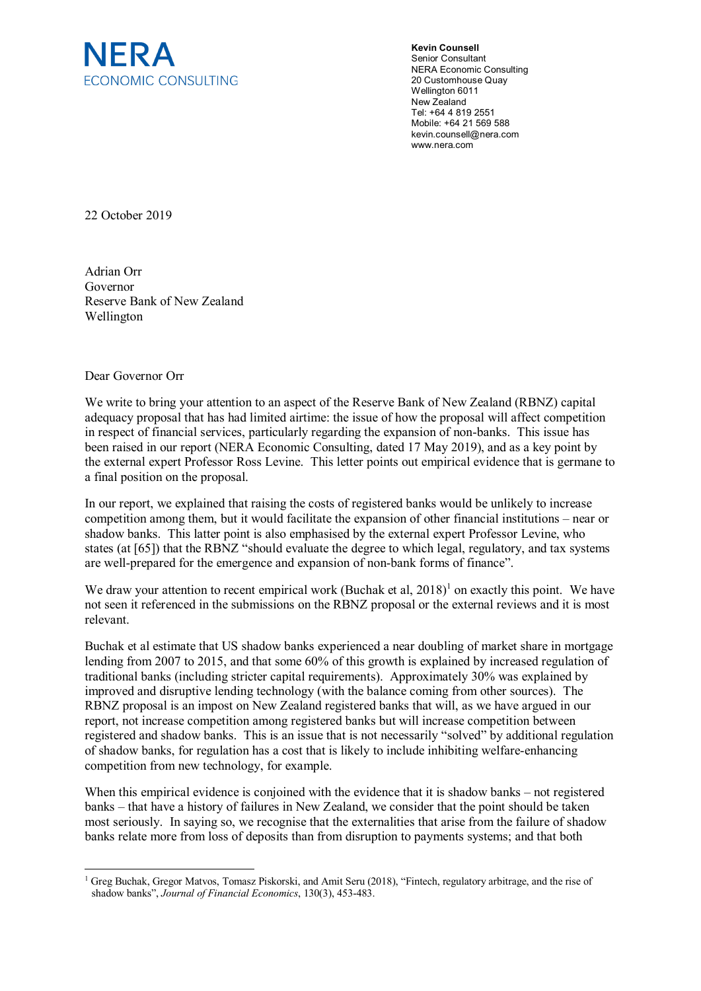

**Kevin Counsell** Senior Consultant NERA Economic Consulting 20 Customhouse Quay Wellington 6011 New Zealand Tel: +64 4 819 2551 Mobile: +64 21 569 588 [kevin.counsell@nera.com](mailto:kevin.counsell@nera.com) www.nera.com

22 October 2019

Adrian Orr Governor Reserve Bank of New Zealand Wellington

## Dear Governor Orr

We write to bring your attention to an aspect of the Reserve Bank of New Zealand (RBNZ) capital adequacy proposal that has had limited airtime: the issue of how the proposal will affect competition in respect of financial services, particularly regarding the expansion of non-banks. This issue has been raised in our report (NERA Economic Consulting, dated 17 May 2019), and as a key point by the external expert Professor Ross Levine. This letter points out empirical evidence that is germane to a final position on the proposal.

In our report, we explained that raising the costs of registered banks would be unlikely to increase competition among them, but it would facilitate the expansion of other financial institutions – near or shadow banks. This latter point is also emphasised by the external expert Professor Levine, who states (at [65]) that the RBNZ "should evaluate the degree to which legal, regulatory, and tax systems are well-prepared for the emergence and expansion of non-bank forms of finance".

We draw your attention to recent empirical work (Buchak et al,  $2018$  $2018$  $2018$ )<sup>1</sup> on exactly this point. We have not seen it referenced in the submissions on the RBNZ proposal or the external reviews and it is most relevant.

Buchak et al estimate that US shadow banks experienced a near doubling of market share in mortgage lending from 2007 to 2015, and that some 60% of this growth is explained by increased regulation of traditional banks (including stricter capital requirements). Approximately 30% was explained by improved and disruptive lending technology (with the balance coming from other sources). The RBNZ proposal is an impost on New Zealand registered banks that will, as we have argued in our report, not increase competition among registered banks but will increase competition between registered and shadow banks. This is an issue that is not necessarily "solved" by additional regulation of shadow banks, for regulation has a cost that is likely to include inhibiting welfare-enhancing competition from new technology, for example.

When this empirical evidence is conjoined with the evidence that it is shadow banks – not registered banks – that have a history of failures in New Zealand, we consider that the point should be taken most seriously. In saying so, we recognise that the externalities that arise from the failure of shadow banks relate more from loss of deposits than from disruption to payments systems; and that both

<span id="page-0-0"></span><sup>&</sup>lt;sup>1</sup> Greg Buchak, Gregor Matvos, Tomasz Piskorski, and Amit Seru (2018), "Fintech, regulatory arbitrage, and the rise of shadow banks", *Journal of Financial Economics*, 130(3), 453-483.